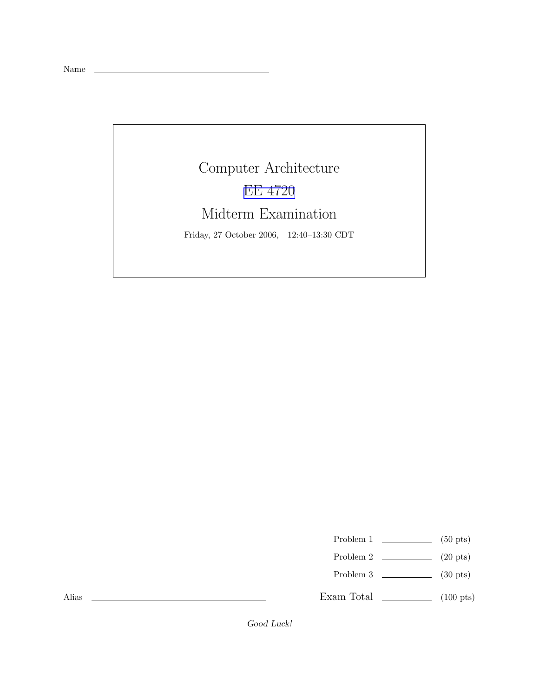Name

## Computer Architecture EE [4720](http://www.ece.lsu.edu/ee4720/) Midterm Examination

Friday, 27 October 2006, 12:40–13:30 CDT

Problem 1  $\qquad \qquad$  (50 pts)

- Problem 2  $\qquad \qquad$  (20 pts)
- Problem 3  $\qquad \qquad$  (30 pts)

Exam Total  $\qquad \qquad$  (100 pts)

Alias

Good Luck!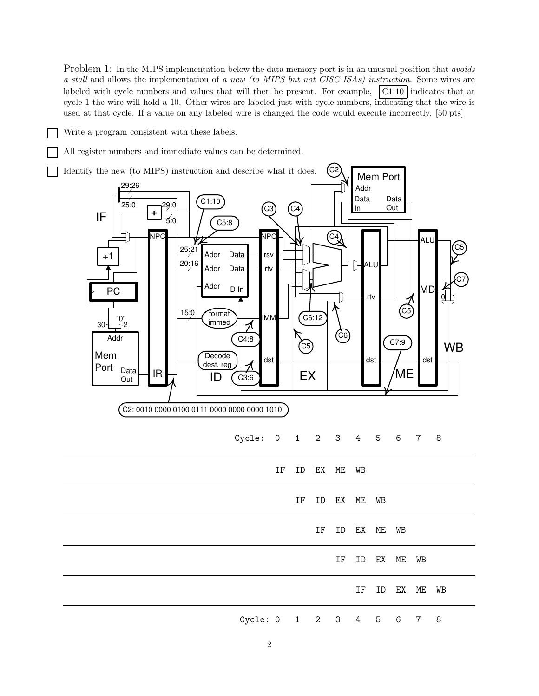Problem 1: In the MIPS implementation below the data memory port is in an unusual position that *avoids* a stall and allows the implementation of a new (to MIPS but not CISC ISAs) instruction. Some wires are labeled with cycle numbers and values that will then be present. For example,  $\vert$  C1:10 indicates that at cycle 1 the wire will hold a 10. Other wires are labeled just with cycle numbers, indicating that the wire is used at that cycle. If a value on any labeled wire is changed the code would execute incorrectly. [50 pts]

Write a program consistent with these labels.

All register numbers and immediate values can be determined.

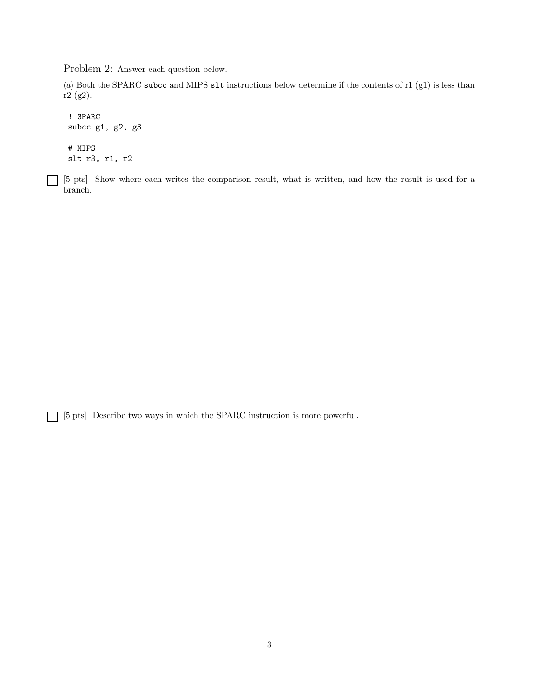Problem 2: Answer each question below.

(a) Both the SPARC subcc and MIPS slt instructions below determine if the contents of r1 (g1) is less than r2 (g2).

```
! SPARC
subcc g1, g2, g3
# MIPS
slt r3, r1, r2
```
[5 pts] Show where each writes the comparison result, what is written, and how the result is used for a branch.

[5 pts] Describe two ways in which the SPARC instruction is more powerful.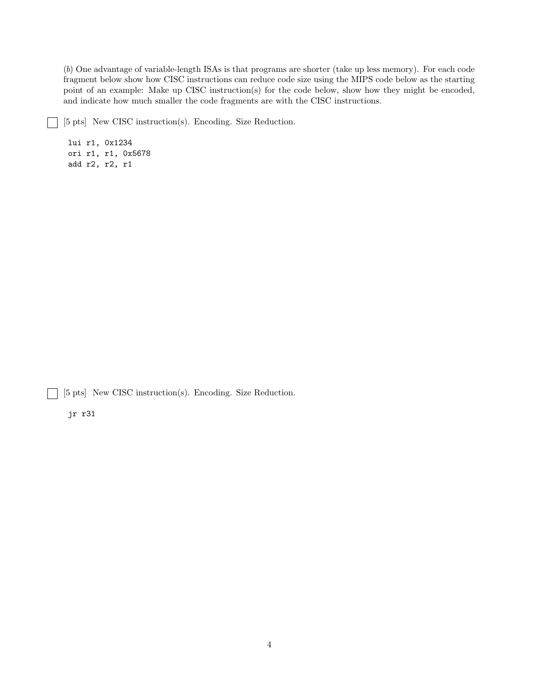(b) One advantage of variable-length ISAs is that programs are shorter (take up less memory). For each code fragment below show how CISC instructions can reduce code size using the MIPS code below as the starting point of an example: Make up CISC instruction(s) for the code below, show how they might be encoded, and indicate how much smaller the code fragments are with the CISC instructions.

[5 pts] New CISC instruction(s). Encoding. Size Reduction.  $\overline{\phantom{a}}$ 

lui r1, 0x1234 ori r1, r1, 0x5678 add r2, r2, r1

[5 pts] New CISC instruction(s). Encoding. Size Reduction.  $\mathbf{L}$ 

jr r31